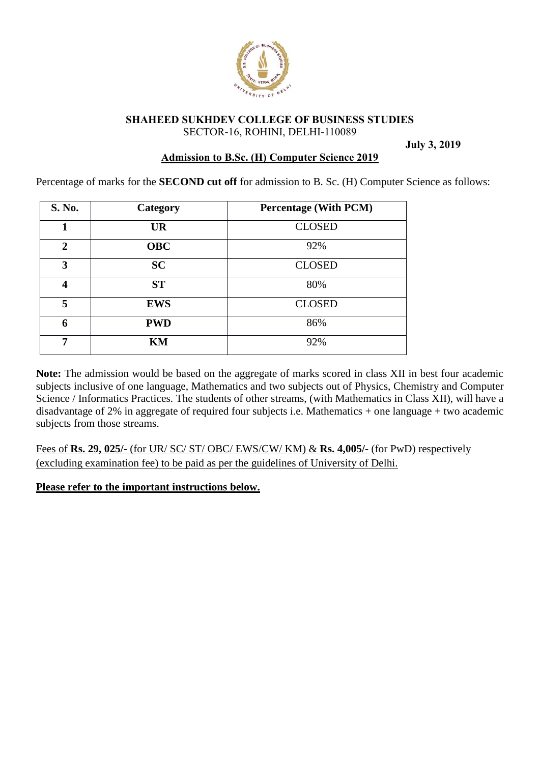

#### **SHAHEED SUKHDEV COLLEGE OF BUSINESS STUDIES** SECTOR-16, ROHINI, DELHI-110089

**July 3, 2019**

## **Admission to B.Sc. (H) Computer Science 2019**

Percentage of marks for the **SECOND cut off** for admission to B. Sc. (H) Computer Science as follows:

| S. No.       | Category   | <b>Percentage (With PCM)</b> |
|--------------|------------|------------------------------|
| 1            | <b>UR</b>  | <b>CLOSED</b>                |
| $\mathbf{2}$ | <b>OBC</b> | 92%                          |
| 3            | <b>SC</b>  | <b>CLOSED</b>                |
| 4            | <b>ST</b>  | 80%                          |
| 5            | <b>EWS</b> | <b>CLOSED</b>                |
| 6            | <b>PWD</b> | 86%                          |
| 7            | KM         | 92%                          |

**Note:** The admission would be based on the aggregate of marks scored in class XII in best four academic subjects inclusive of one language, Mathematics and two subjects out of Physics, Chemistry and Computer Science / Informatics Practices. The students of other streams, (with Mathematics in Class XII), will have a disadvantage of 2% in aggregate of required four subjects i.e. Mathematics + one language + two academic subjects from those streams.

Fees of **Rs. 29, 025/-** (for UR/ SC/ ST/ OBC/ EWS/CW/ KM) & **Rs. 4,005/-** (for PwD) respectively (excluding examination fee) to be paid as per the guidelines of University of Delhi.

### **Please refer to the important instructions below.**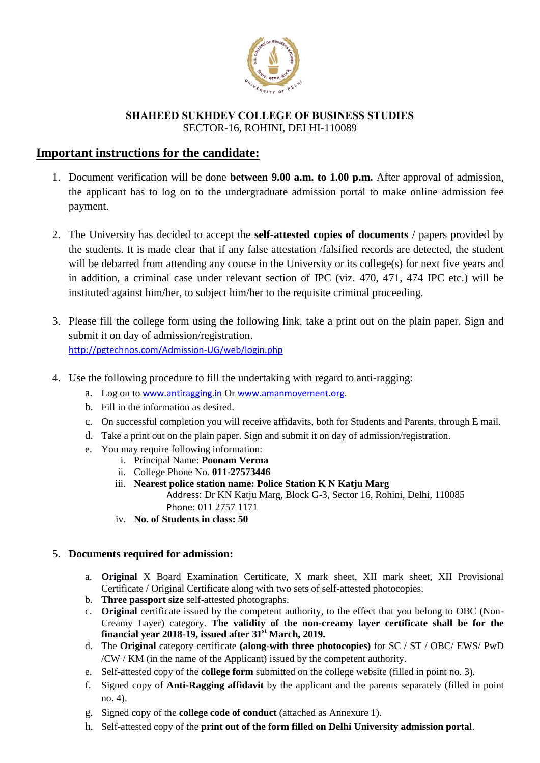

### **SHAHEED SUKHDEV COLLEGE OF BUSINESS STUDIES** SECTOR-16, ROHINI, DELHI-110089

# **Important instructions for the candidate:**

- 1. Document verification will be done **between 9.00 a.m. to 1.00 p.m.** After approval of admission, the applicant has to log on to the undergraduate admission portal to make online admission fee payment.
- 2. The University has decided to accept the **self-attested copies of documents** / papers provided by the students. It is made clear that if any false attestation /falsified records are detected, the student will be debarred from attending any course in the University or its college(s) for next five years and in addition, a criminal case under relevant section of IPC (viz. 470, 471, 474 IPC etc.) will be instituted against him/her, to subject him/her to the requisite criminal proceeding.
- 3. Please fill the college form using the following link, take a print out on the plain paper. Sign and submit it on day of admission/registration. <http://pgtechnos.com/Admission-UG/web/login.php>
- 4. Use the following procedure to fill the undertaking with regard to anti-ragging:
	- a. Log on to [www.antiragging.in](http://www.antiragging.in/) Or [www.amanmovement.org](http://www.amanmovement.org/).
	- b. Fill in the information as desired.
	- c. On successful completion you will receive affidavits, both for Students and Parents, through E mail.
	- d. Take a print out on the plain paper. Sign and submit it on day of admission/registration.
	- e. You may require following information:
		- i. Principal Name: **Poonam Verma**
		- ii. College Phone No. **011-27573446**
		- iii. **Nearest police station name: Police Station K N Katju Marg**

[Address](https://www.google.com/search?client=firefox-b-d&q=police+station+k+n+katju+marg+address&stick=H4sIAAAAAAAAAOPgE-LWT9c3LEnLiS_LMNeSzU620s_JT04syczPgzOsElNSilKLixexqhbk52QmpyoUl4AlFLIVgDixJKtUITexKF0Bqg4AMBqCrVYAAAA&ludocid=11824660848380236243&sa=X&ved=2ahUKEwjS2qXvoonjAhXCv48KHT85CA8Q6BMwA3oECAEQIg): Dr KN Katju Marg, Block G-3, Sector 16, Rohini, Delhi, 110085 [Phone](https://www.google.com/search?client=firefox-b-d&q=police+station+k+n+katju+marg+phone&ludocid=11824660848380236243&sa=X&ved=2ahUKEwjS2qXvoonjAhXCv48KHT85CA8Q6BMwBHoECAEQJQ): 011 2757 1171

iv. **No. of Students in class: 50**

### 5. **Documents required for admission:**

- a. **Original** X Board Examination Certificate, X mark sheet, XII mark sheet, XII Provisional Certificate / Original Certificate along with two sets of self-attested photocopies.
- b. **Three passport size** self-attested photographs.
- c. **Original** certificate issued by the competent authority, to the effect that you belong to OBC (Non-Creamy Layer) category. **The validity of the non-creamy layer certificate shall be for the financial year 2018-19, issued after 31st March, 2019.**
- d. The **Original** category certificate **(along-with three photocopies)** for SC / ST / OBC/ EWS/ PwD /CW / KM (in the name of the Applicant) issued by the competent authority.
- e. Self-attested copy of the **college form** submitted on the college website (filled in point no. 3).
- f. Signed copy of **Anti-Ragging affidavit** by the applicant and the parents separately (filled in point no. 4).
- g. Signed copy of the **college code of conduct** (attached as Annexure 1).
- h. Self-attested copy of the **print out of the form filled on Delhi University admission portal**.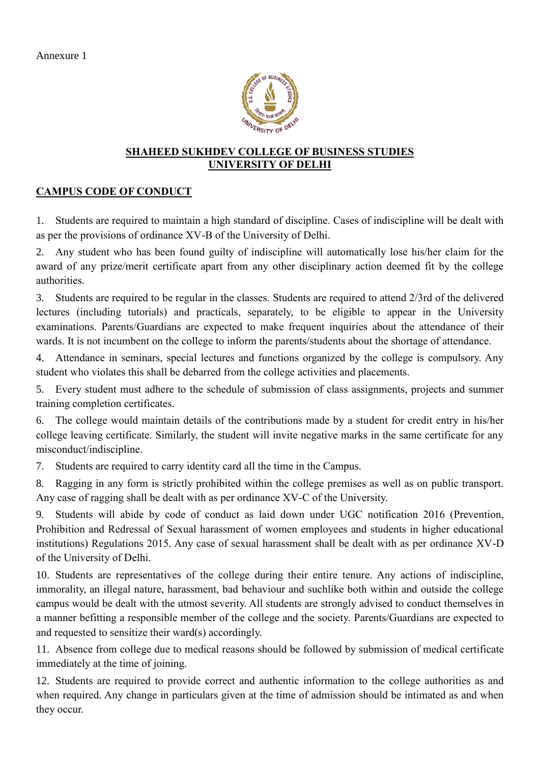

## **SHAHEED SUKHDEV COLLEGE OF BUSINESS STUDIES UNIVERSITY OF DELHI**

# **CAMPUS CODE OF CONDUCT**

1. Students are required to maintain a high standard of discipline. Cases of indiscipline will be dealt with as per the provisions of ordinance XV-B of the University of Delhi.

2. Any student who has been found guilty of indiscipline will automatically lose his/her claim for the award of any prize/merit certificate apart from any other disciplinary action deemed fit by the college authorities.

3. Students are required to be regular in the classes. Students are required to attend 2/3rd of the delivered lectures (including tutorials) and practicals, separately, to be eligible to appear in the University examinations. Parents/Guardians are expected to make frequent inquiries about the attendance of their wards. It is not incumbent on the college to inform the parents/students about the shortage of attendance.

4. Attendance in seminars, special lectures and functions organized by the college is compulsory. Any student who violates this shall be debarred from the college activities and placements.

5. Every student must adhere to the schedule of submission of class assignments, projects and summer training completion certificates.

6. The college would maintain details of the contributions made by a student for credit entry in his/her college leaving certificate. Similarly, the student will invite negative marks in the same certificate for any misconduct/indiscipline.

7. Students are required to carry identity card all the time in the Campus.

8. Ragging in any form is strictly prohibited within the college premises as well as on public transport. Any case of ragging shall be dealt with as per ordinance XV-C of the University.

9. Students will abide by code of conduct as laid down under UGC notification 2016 (Prevention, Prohibition and Redressal of Sexual harassment of women employees and students in higher educational institutions) Regulations 2015. Any case of sexual harassment shall be dealt with as per ordinance XV-D of the University of Delhi.

10. Students are representatives of the college during their entire tenure. Any actions of indiscipline, immorality, an illegal nature, harassment, bad behaviour and suchlike both within and outside the college campus would be dealt with the utmost severity. All students are strongly advised to conduct themselves in a manner befitting a responsible member of the college and the society. Parents/Guardians are expected to and requested to sensitize their ward(s) accordingly.

11. Absence from college due to medical reasons should be followed by submission of medical certificate immediately at the time of joining.

12. Students are required to provide correct and authentic information to the college authorities as and when required. Any change in particulars given at the time of admission should be intimated as and when they occur.